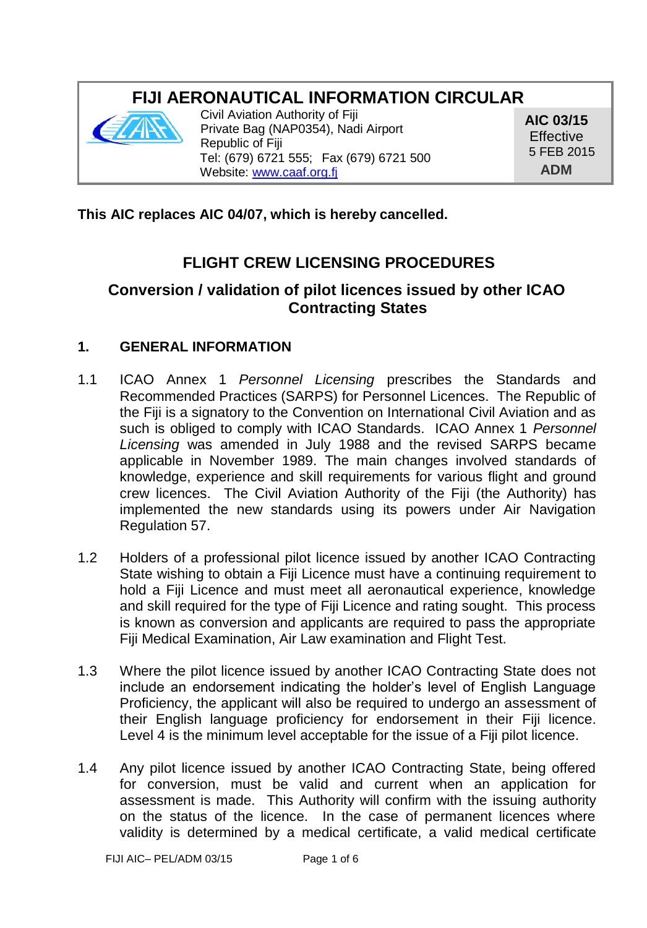# **FIJI AERONAUTICAL INFORMATION CIRCULAR**



Civil Aviation Authority of Fiji Private Bag (NAP0354), Nadi Airport Republic of Fiji Tel: (679) 6721 555; Fax (679) 6721 500 Website[: www.caaf.org.fj](http://www.caaf.org.fj/)

**AIC 03/15 Effective** 5 FEB 2015 **ADM**

### **This AIC replaces AIC 04/07, which is hereby cancelled.**

# **FLIGHT CREW LICENSING PROCEDURES**

# **Conversion / validation of pilot licences issued by other ICAO Contracting States**

#### **1. GENERAL INFORMATION**

- 1.1 ICAO Annex 1 *Personnel Licensing* prescribes the Standards and Recommended Practices (SARPS) for Personnel Licences. The Republic of the Fiji is a signatory to the Convention on International Civil Aviation and as such is obliged to comply with ICAO Standards. ICAO Annex 1 *Personnel Licensing* was amended in July 1988 and the revised SARPS became applicable in November 1989. The main changes involved standards of knowledge, experience and skill requirements for various flight and ground crew licences. The Civil Aviation Authority of the Fiji (the Authority) has implemented the new standards using its powers under Air Navigation Regulation 57.
- 1.2 Holders of a professional pilot licence issued by another ICAO Contracting State wishing to obtain a Fiji Licence must have a continuing requirement to hold a Fiji Licence and must meet all aeronautical experience, knowledge and skill required for the type of Fiji Licence and rating sought. This process is known as conversion and applicants are required to pass the appropriate Fiji Medical Examination, Air Law examination and Flight Test.
- 1.3 Where the pilot licence issued by another ICAO Contracting State does not include an endorsement indicating the holder's level of English Language Proficiency, the applicant will also be required to undergo an assessment of their English language proficiency for endorsement in their Fiji licence. Level 4 is the minimum level acceptable for the issue of a Fiji pilot licence.
- 1.4 Any pilot licence issued by another ICAO Contracting State, being offered for conversion, must be valid and current when an application for assessment is made. This Authority will confirm with the issuing authority on the status of the licence. In the case of permanent licences where validity is determined by a medical certificate, a valid medical certificate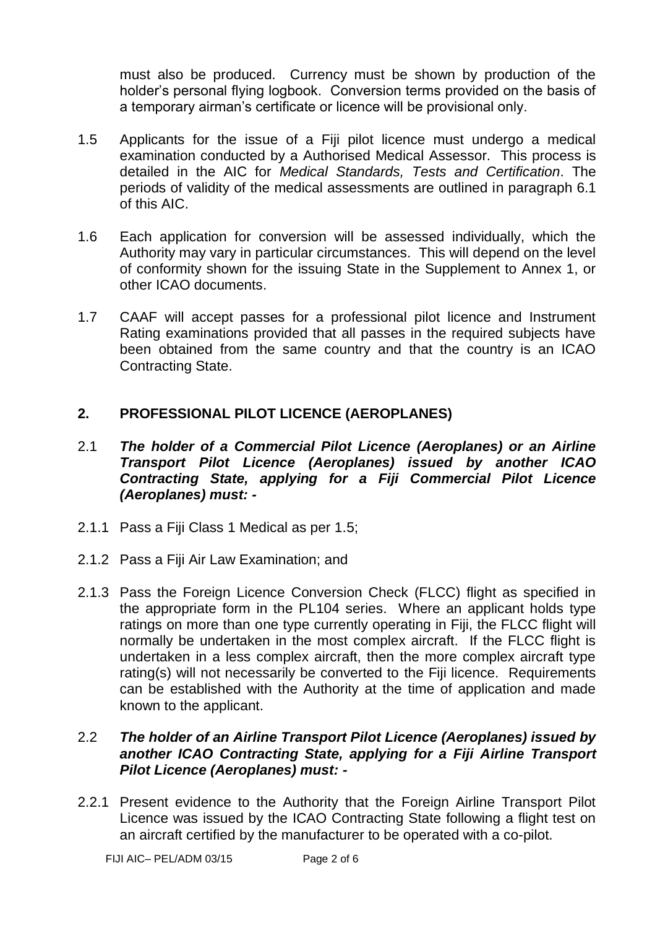must also be produced. Currency must be shown by production of the holder's personal flying logbook. Conversion terms provided on the basis of a temporary airman's certificate or licence will be provisional only.

- 1.5 Applicants for the issue of a Fiji pilot licence must undergo a medical examination conducted by a Authorised Medical Assessor. This process is detailed in the AIC for *Medical Standards, Tests and Certification*. The periods of validity of the medical assessments are outlined in paragraph 6.1 of this AIC.
- 1.6 Each application for conversion will be assessed individually, which the Authority may vary in particular circumstances. This will depend on the level of conformity shown for the issuing State in the Supplement to Annex 1, or other ICAO documents.
- 1.7 CAAF will accept passes for a professional pilot licence and Instrument Rating examinations provided that all passes in the required subjects have been obtained from the same country and that the country is an ICAO Contracting State.

### **2. PROFESSIONAL PILOT LICENCE (AEROPLANES)**

- 2.1 *The holder of a Commercial Pilot Licence (Aeroplanes) or an Airline Transport Pilot Licence (Aeroplanes) issued by another ICAO Contracting State, applying for a Fiji Commercial Pilot Licence (Aeroplanes) must: -*
- 2.1.1 Pass a Fiji Class 1 Medical as per 1.5;
- 2.1.2 Pass a Fiji Air Law Examination; and
- 2.1.3 Pass the Foreign Licence Conversion Check (FLCC) flight as specified in the appropriate form in the PL104 series. Where an applicant holds type ratings on more than one type currently operating in Fiji, the FLCC flight will normally be undertaken in the most complex aircraft. If the FLCC flight is undertaken in a less complex aircraft, then the more complex aircraft type rating(s) will not necessarily be converted to the Fiji licence. Requirements can be established with the Authority at the time of application and made known to the applicant.

#### 2.2 *The holder of an Airline Transport Pilot Licence (Aeroplanes) issued by another ICAO Contracting State, applying for a Fiji Airline Transport Pilot Licence (Aeroplanes) must: -*

2.2.1 Present evidence to the Authority that the Foreign Airline Transport Pilot Licence was issued by the ICAO Contracting State following a flight test on an aircraft certified by the manufacturer to be operated with a co-pilot.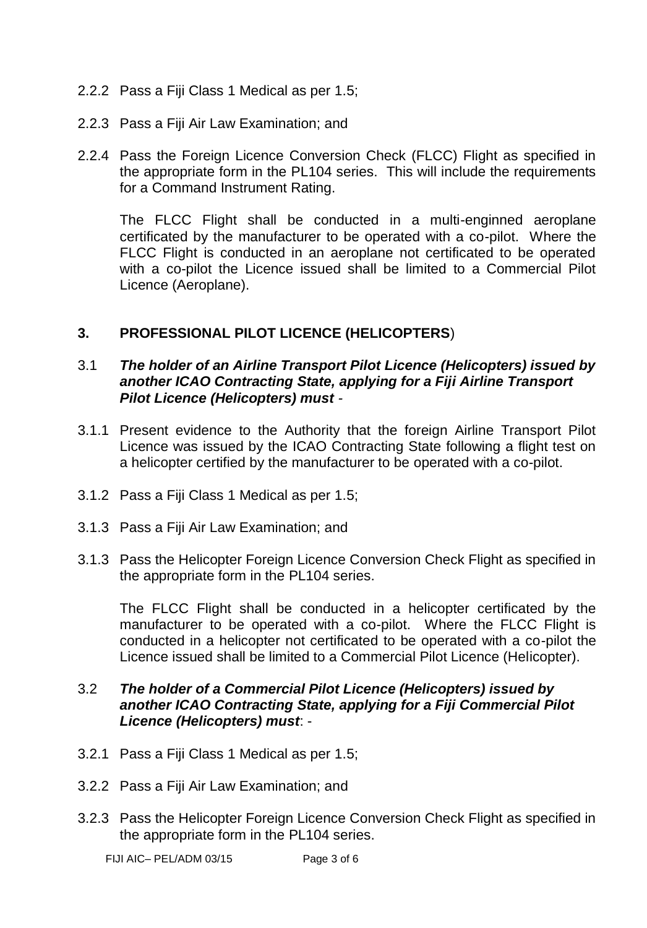- 2.2.2 Pass a Fiji Class 1 Medical as per 1.5;
- 2.2.3 Pass a Fiji Air Law Examination; and
- 2.2.4 Pass the Foreign Licence Conversion Check (FLCC) Flight as specified in the appropriate form in the PL104 series. This will include the requirements for a Command Instrument Rating.

The FLCC Flight shall be conducted in a multi-enginned aeroplane certificated by the manufacturer to be operated with a co-pilot. Where the FLCC Flight is conducted in an aeroplane not certificated to be operated with a co-pilot the Licence issued shall be limited to a Commercial Pilot Licence (Aeroplane).

### **3. PROFESSIONAL PILOT LICENCE (HELICOPTERS**)

#### 3.1 *The holder of an Airline Transport Pilot Licence (Helicopters) issued by another ICAO Contracting State, applying for a Fiji Airline Transport Pilot Licence (Helicopters) must -*

- 3.1.1 Present evidence to the Authority that the foreign Airline Transport Pilot Licence was issued by the ICAO Contracting State following a flight test on a helicopter certified by the manufacturer to be operated with a co-pilot.
- 3.1.2 Pass a Fiji Class 1 Medical as per 1.5;
- 3.1.3 Pass a Fiji Air Law Examination; and
- 3.1.3 Pass the Helicopter Foreign Licence Conversion Check Flight as specified in the appropriate form in the PL104 series.

The FLCC Flight shall be conducted in a helicopter certificated by the manufacturer to be operated with a co-pilot. Where the FLCC Flight is conducted in a helicopter not certificated to be operated with a co-pilot the Licence issued shall be limited to a Commercial Pilot Licence (Helicopter).

#### 3.2 *The holder of a Commercial Pilot Licence (Helicopters) issued by another ICAO Contracting State, applying for a Fiji Commercial Pilot Licence (Helicopters) must*: -

- 3.2.1 Pass a Fiji Class 1 Medical as per 1.5;
- 3.2.2 Pass a Fiji Air Law Examination; and
- 3.2.3 Pass the Helicopter Foreign Licence Conversion Check Flight as specified in the appropriate form in the PL104 series.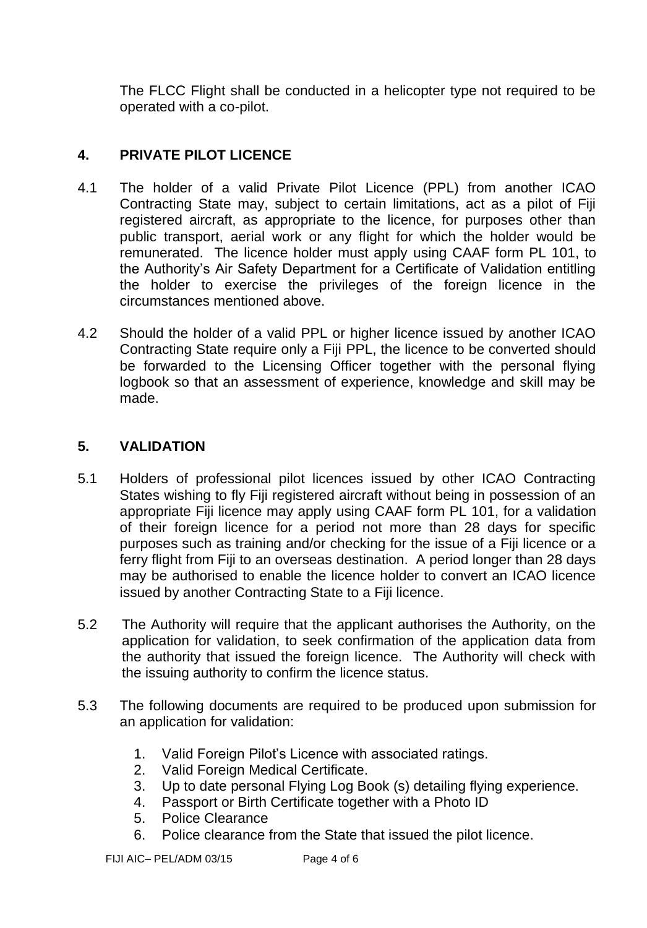The FLCC Flight shall be conducted in a helicopter type not required to be operated with a co-pilot.

# **4. PRIVATE PILOT LICENCE**

- 4.1 The holder of a valid Private Pilot Licence (PPL) from another ICAO Contracting State may, subject to certain limitations, act as a pilot of Fiji registered aircraft, as appropriate to the licence, for purposes other than public transport, aerial work or any flight for which the holder would be remunerated. The licence holder must apply using CAAF form PL 101, to the Authority's Air Safety Department for a Certificate of Validation entitling the holder to exercise the privileges of the foreign licence in the circumstances mentioned above.
- 4.2 Should the holder of a valid PPL or higher licence issued by another ICAO Contracting State require only a Fiji PPL, the licence to be converted should be forwarded to the Licensing Officer together with the personal flying logbook so that an assessment of experience, knowledge and skill may be made.

# **5. VALIDATION**

- 5.1 Holders of professional pilot licences issued by other ICAO Contracting States wishing to fly Fiji registered aircraft without being in possession of an appropriate Fiji licence may apply using CAAF form PL 101, for a validation of their foreign licence for a period not more than 28 days for specific purposes such as training and/or checking for the issue of a Fiji licence or a ferry flight from Fiji to an overseas destination. A period longer than 28 days may be authorised to enable the licence holder to convert an ICAO licence issued by another Contracting State to a Fiji licence.
- 5.2 The Authority will require that the applicant authorises the Authority, on the application for validation, to seek confirmation of the application data from the authority that issued the foreign licence. The Authority will check with the issuing authority to confirm the licence status.
- 5.3 The following documents are required to be produced upon submission for an application for validation:
	- 1. Valid Foreign Pilot's Licence with associated ratings.
	- 2. Valid Foreign Medical Certificate.
	- 3. Up to date personal Flying Log Book (s) detailing flying experience.
	- 4. Passport or Birth Certificate together with a Photo ID
	- 5. Police Clearance
	- 6. Police clearance from the State that issued the pilot licence.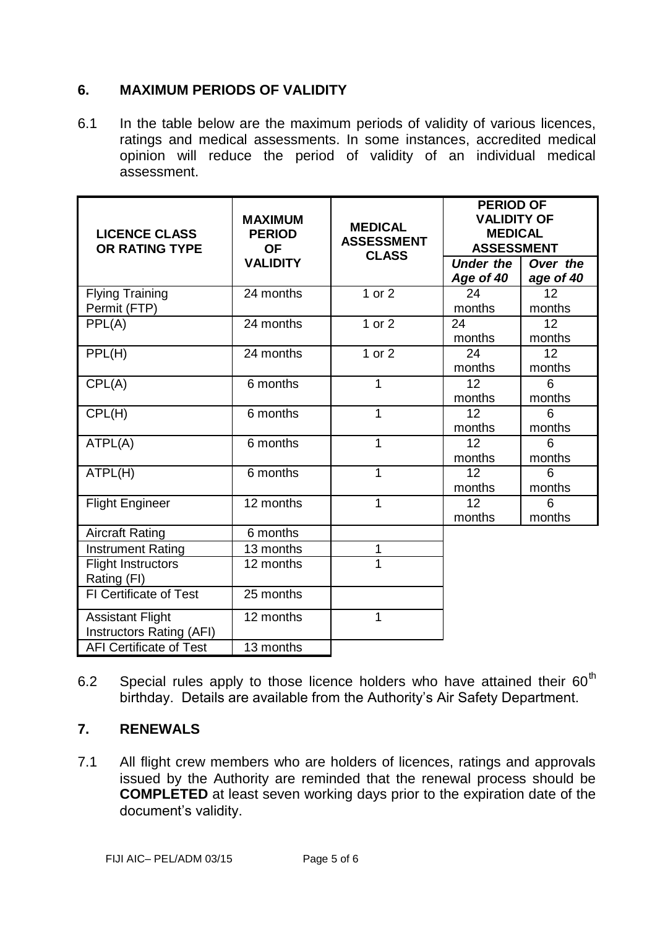### **6. MAXIMUM PERIODS OF VALIDITY**

6.1 In the table below are the maximum periods of validity of various licences, ratings and medical assessments. In some instances, accredited medical opinion will reduce the period of validity of an individual medical assessment.

| <b>LICENCE CLASS</b><br>OR RATING TYPE              | <b>MAXIMUM</b><br><b>PERIOD</b><br>OF<br><b>VALIDITY</b> | <b>MEDICAL</b><br><b>ASSESSMENT</b><br><b>CLASS</b> | <b>PERIOD OF</b><br><b>VALIDITY OF</b><br><b>MEDICAL</b><br><b>ASSESSMENT</b> |                       |
|-----------------------------------------------------|----------------------------------------------------------|-----------------------------------------------------|-------------------------------------------------------------------------------|-----------------------|
|                                                     |                                                          |                                                     | <b>Under the</b><br>Age of 40                                                 | Over the<br>age of 40 |
| <b>Flying Training</b><br>Permit (FTP)              | 24 months                                                | $1$ or $2$                                          | 24<br>months                                                                  | 12<br>months          |
| PPL(A)                                              | 24 months                                                | 1 or 2                                              | 24<br>months                                                                  | 12<br>months          |
| PPL(H)                                              | 24 months                                                | 1 or $2$                                            | 24<br>months                                                                  | 12<br>months          |
| CPL(A)                                              | 6 months                                                 | 1                                                   | 12<br>months                                                                  | 6<br>months           |
| CPL(H)                                              | 6 months                                                 | 1                                                   | 12<br>months                                                                  | 6<br>months           |
| ATPL(A)                                             | 6 months                                                 | 1                                                   | 12<br>months                                                                  | 6<br>months           |
| ATPL(H)                                             | 6 months                                                 | 1                                                   | 12<br>months                                                                  | 6<br>months           |
| <b>Flight Engineer</b>                              | 12 months                                                | 1                                                   | 12<br>months                                                                  | 6<br>months           |
| <b>Aircraft Rating</b>                              | 6 months                                                 |                                                     |                                                                               |                       |
| <b>Instrument Rating</b>                            | 13 months                                                | 1                                                   |                                                                               |                       |
| <b>Flight Instructors</b><br>Rating (FI)            | 12 months                                                | 1                                                   |                                                                               |                       |
| FI Certificate of Test                              | 25 months                                                |                                                     |                                                                               |                       |
| <b>Assistant Flight</b><br>Instructors Rating (AFI) | 12 months                                                | 1                                                   |                                                                               |                       |
| <b>AFI Certificate of Test</b>                      | 13 months                                                |                                                     |                                                                               |                       |

6.2 Special rules apply to those licence holders who have attained their  $60<sup>th</sup>$ birthday. Details are available from the Authority's Air Safety Department.

# **7. RENEWALS**

7.1 All flight crew members who are holders of licences, ratings and approvals issued by the Authority are reminded that the renewal process should be **COMPLETED** at least seven working days prior to the expiration date of the document's validity.